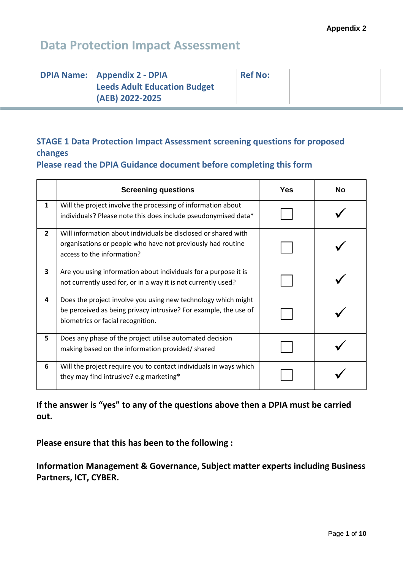| <b>DPIA Name:   Appendix 2 - DPIA</b> | <b>Ref No:</b> |  |
|---------------------------------------|----------------|--|
| Leeds Adult Education Budget          |                |  |
| (AEB) 2022-2025                       |                |  |

#### **STAGE 1 Data Protection Impact Assessment screening questions for proposed changes**

**Please read the DPIA Guidance document before completing this form**

|              | <b>Screening questions</b>                                                                                                                                             | Yes | <b>No</b> |
|--------------|------------------------------------------------------------------------------------------------------------------------------------------------------------------------|-----|-----------|
| $\mathbf{1}$ | Will the project involve the processing of information about<br>individuals? Please note this does include pseudonymised data*                                         |     |           |
| $\mathbf{2}$ | Will information about individuals be disclosed or shared with<br>organisations or people who have not previously had routine<br>access to the information?            |     |           |
| 3            | Are you using information about individuals for a purpose it is<br>not currently used for, or in a way it is not currently used?                                       |     |           |
| 4            | Does the project involve you using new technology which might<br>be perceived as being privacy intrusive? For example, the use of<br>biometrics or facial recognition. |     |           |
| 5            | Does any phase of the project utilise automated decision<br>making based on the information provided/ shared                                                           |     |           |
| 6            | Will the project require you to contact individuals in ways which<br>they may find intrusive? e.g marketing*                                                           |     |           |

**If the answer is "yes" to any of the questions above then a DPIA must be carried out.**

**Please ensure that this has been to the following :**

**Information Management & Governance, Subject matter experts including Business Partners, ICT, CYBER.**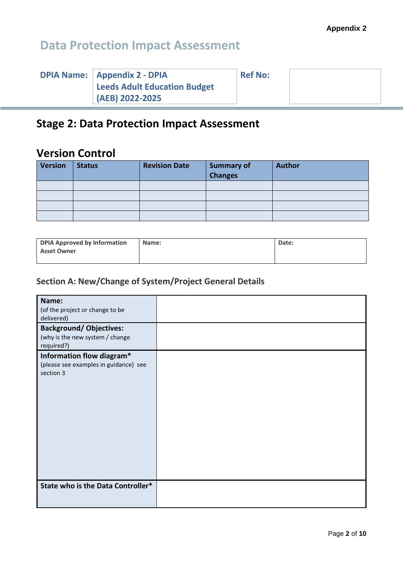| <b>DPIA Name:   Appendix 2 - DPIA</b> | <b>Ref No:</b> |  |
|---------------------------------------|----------------|--|
| Leeds Adult Education Budget          |                |  |
| $(AEB) 2022 - 2025$                   |                |  |

#### **Stage 2: Data Protection Impact Assessment**

#### **Version Control**

| <b>Version</b> | <b>Status</b> | <b>Revision Date</b> | <b>Summary of</b><br><b>Changes</b> | <b>Author</b> |
|----------------|---------------|----------------------|-------------------------------------|---------------|
|                |               |                      |                                     |               |
|                |               |                      |                                     |               |
|                |               |                      |                                     |               |
|                |               |                      |                                     |               |

| <b>DPIA Approved by Information</b> | Name: | Date: |
|-------------------------------------|-------|-------|
| <b>Asset Owner</b>                  |       |       |
|                                     |       |       |

#### **Section A: New/Change of System/Project General Details**

| Name:<br>(of the project or change to be<br>delivered)                          |  |
|---------------------------------------------------------------------------------|--|
| <b>Background/ Objectives:</b><br>(why is the new system / change<br>required?) |  |
| Information flow diagram*<br>(please see examples in guidance) see<br>section 3 |  |
| State who is the Data Controller*                                               |  |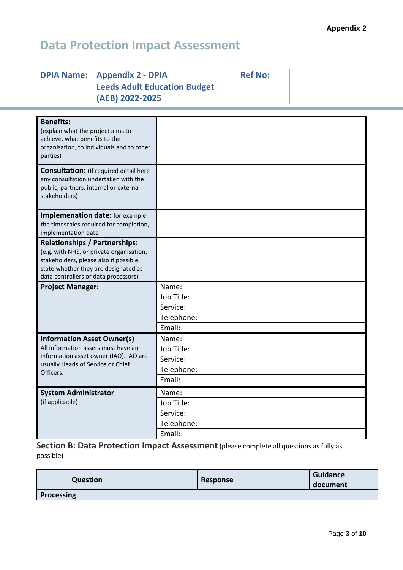|  |  | <b>DPIA Name:   Appendix 2 - DPIA</b><br>Leeds Adult Education Budget<br>(AEB) 2022-2025 | <b>Ref No:</b> |  |  |
|--|--|------------------------------------------------------------------------------------------|----------------|--|--|
|--|--|------------------------------------------------------------------------------------------|----------------|--|--|

| <b>Benefits:</b><br>(explain what the project aims to<br>achieve, what benefits to the<br>organisation, to individuals and to other<br>parties)                                                           |            |  |
|-----------------------------------------------------------------------------------------------------------------------------------------------------------------------------------------------------------|------------|--|
| <b>Consultation:</b> (If required detail here<br>any consultation undertaken with the<br>public, partners, internal or external<br>stakeholders)                                                          |            |  |
| <b>Implemenation date:</b> for example<br>the timescales required for completion,<br>implementation date                                                                                                  |            |  |
| <b>Relationships / Partnerships:</b><br>(e.g. with NHS, or private organisation,<br>stakeholders, please also if possible<br>state whether they are designated as<br>data controllers or data processors) |            |  |
| <b>Project Manager:</b>                                                                                                                                                                                   | Name:      |  |
|                                                                                                                                                                                                           | Job Title: |  |
|                                                                                                                                                                                                           | Service:   |  |
|                                                                                                                                                                                                           | Telephone: |  |
|                                                                                                                                                                                                           | Email:     |  |
| <b>Information Asset Owner(s)</b>                                                                                                                                                                         | Name:      |  |
| All information assets must have an                                                                                                                                                                       | Job Title: |  |
| information asset owner (IAO). IAO are                                                                                                                                                                    | Service:   |  |
| usually Heads of Service or Chief<br>Officers.                                                                                                                                                            | Telephone: |  |
|                                                                                                                                                                                                           | Email:     |  |
| <b>System Administrator</b>                                                                                                                                                                               | Name:      |  |
| (if applicable)                                                                                                                                                                                           | Job Title: |  |
|                                                                                                                                                                                                           | Service:   |  |
|                                                                                                                                                                                                           | Telephone: |  |
|                                                                                                                                                                                                           | Email:     |  |

**Section B: Data Protection Impact Assessment** (please complete all questions as fully as possible)

|            | <b>Question</b> | Response | <b>Guidance</b><br>document |  |  |  |
|------------|-----------------|----------|-----------------------------|--|--|--|
| Processing |                 |          |                             |  |  |  |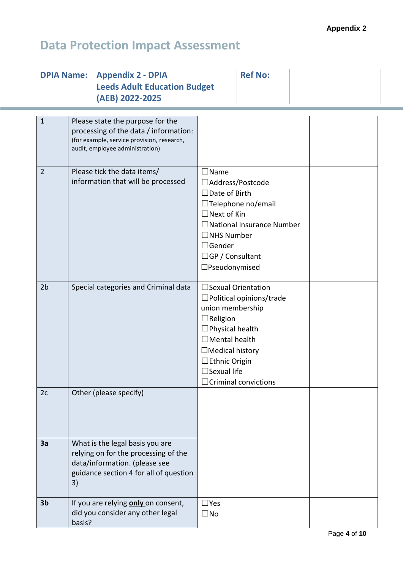|                | <b>DPIA Name:</b> | <b>Appendix 2 - DPIA</b><br><b>Leeds Adult Education Budget</b><br>(AEB) 2022-2025                                                                         |                                                                                                                                                                     | <b>Ref No:</b>                                                                         |  |
|----------------|-------------------|------------------------------------------------------------------------------------------------------------------------------------------------------------|---------------------------------------------------------------------------------------------------------------------------------------------------------------------|----------------------------------------------------------------------------------------|--|
| $\mathbf{1}$   |                   | Please state the purpose for the<br>processing of the data / information:<br>(for example, service provision, research,<br>audit, employee administration) |                                                                                                                                                                     |                                                                                        |  |
| $\overline{2}$ |                   | Please tick the data items/<br>information that will be processed                                                                                          | $\square$ Name<br>□Address/Postcode<br>$\Box$ Date of Birth<br>$\Box$ Next of Kin<br>$\Box$ NHS Number<br>$\Box$ Gender<br>$\Box$ GP / Consultant<br>□Pseudonymised | $\Box$ Telephone no/email<br>$\Box$ National Insurance Number                          |  |
| 2 <sub>b</sub> |                   | Special categories and Criminal data                                                                                                                       | union membership<br>$\Box$ Religion<br>$\Box$ Physical health<br>$\Box$ Mental health<br>$\Box$ Medical history<br>□ Ethnic Origin<br>$\Box$ Sexual life            | □ Sexual Orientation<br>$\Box$ Political opinions/trade<br>$\Box$ Criminal convictions |  |
| 2c             |                   | Other (please specify)                                                                                                                                     |                                                                                                                                                                     |                                                                                        |  |
| 3a             | 3)                | What is the legal basis you are<br>relying on for the processing of the<br>data/information. (please see<br>guidance section 4 for all of question         |                                                                                                                                                                     |                                                                                        |  |
| 3 <sub>b</sub> | basis?            | If you are relying only on consent,<br>did you consider any other legal                                                                                    | $\square$ Yes<br>$\square$ No                                                                                                                                       |                                                                                        |  |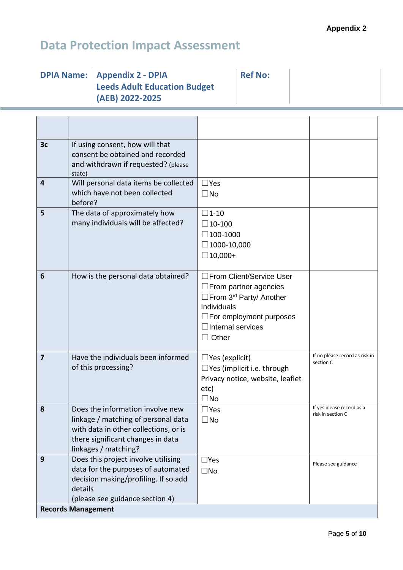# **Data Protection Impact Assessment**

| <b>DPIA Name:   Appendix 2 - DPIA</b><br><b>Leeds Adult Education Budget</b> | <b>Ref No:</b> |  |
|------------------------------------------------------------------------------|----------------|--|
| (AEB) 2022-2025                                                              |                |  |

| 3 <sub>c</sub> | If using consent, how will that<br>consent be obtained and recorded<br>and withdrawn if requested? (please<br>state)                                                          |                                                                                                                                                                                                   |                                                |
|----------------|-------------------------------------------------------------------------------------------------------------------------------------------------------------------------------|---------------------------------------------------------------------------------------------------------------------------------------------------------------------------------------------------|------------------------------------------------|
| 4              | Will personal data items be collected<br>which have not been collected<br>before?                                                                                             | $\Box$ Yes<br>$\square$ No                                                                                                                                                                        |                                                |
| 5              | The data of approximately how<br>many individuals will be affected?                                                                                                           | $\square$ 1-10<br>$\square$ 10-100<br>$\Box$ 100-1000<br>$\Box$ 1000-10,000<br>$\Box$ 10,000+                                                                                                     |                                                |
| 6              | How is the personal data obtained?                                                                                                                                            | □From Client/Service User<br>$\square$ From partner agencies<br>□From 3 <sup>rd</sup> Party/ Another<br>Individuals<br>$\Box$ For employment purposes<br>$\Box$ Internal services<br>$\Box$ Other |                                                |
| $\overline{7}$ | Have the individuals been informed<br>of this processing?                                                                                                                     | $\Box$ Yes (explicit)<br>$\Box$ Yes (implicit i.e. through<br>Privacy notice, website, leaflet<br>etc)<br>$\square$ No                                                                            | If no please record as risk in<br>section C    |
| 8              | Does the information involve new<br>linkage / matching of personal data<br>with data in other collections, or is<br>there significant changes in data<br>linkages / matching? | $\Box$ Yes<br>$\square$ No                                                                                                                                                                        | If yes please record as a<br>risk in section C |
| 9              | Does this project involve utilising<br>data for the purposes of automated<br>decision making/profiling. If so add<br>details<br>(please see guidance section 4)               | $\Box$ Yes<br>$\square$ No                                                                                                                                                                        | Please see guidance                            |
|                | <b>Records Management</b>                                                                                                                                                     |                                                                                                                                                                                                   |                                                |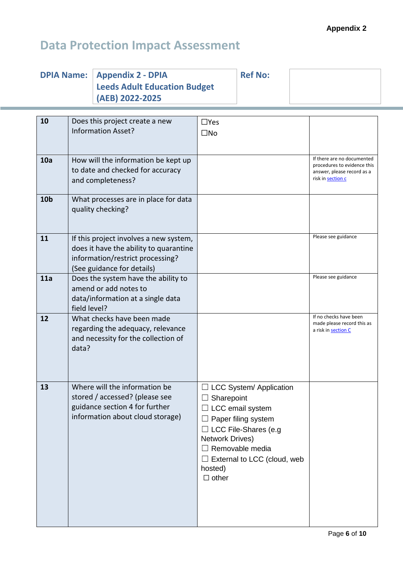| <b>DPIA Name:</b> |                                                                                                                                                    | <b>Appendix 2 - DPIA</b><br><b>Leeds Adult Education Budget</b><br>(AEB) 2022-2025                                                    |                                                                                            | <b>Ref No:</b>                                                                                                                                |                                                                                                              |
|-------------------|----------------------------------------------------------------------------------------------------------------------------------------------------|---------------------------------------------------------------------------------------------------------------------------------------|--------------------------------------------------------------------------------------------|-----------------------------------------------------------------------------------------------------------------------------------------------|--------------------------------------------------------------------------------------------------------------|
| 10                | Does this project create a new<br><b>Information Asset?</b>                                                                                        |                                                                                                                                       | $\Box$ Yes<br>$\square$ No                                                                 |                                                                                                                                               |                                                                                                              |
| 10a               | How will the information be kept up<br>to date and checked for accuracy<br>and completeness?                                                       |                                                                                                                                       |                                                                                            |                                                                                                                                               | If there are no documented<br>procedures to evidence this<br>answer, please record as a<br>risk in section c |
| 10 <sub>b</sub>   | What processes are in place for data<br>quality checking?                                                                                          |                                                                                                                                       |                                                                                            |                                                                                                                                               |                                                                                                              |
| 11                | If this project involves a new system,<br>does it have the ability to quarantine<br>information/restrict processing?<br>(See guidance for details) |                                                                                                                                       |                                                                                            |                                                                                                                                               | Please see guidance                                                                                          |
| 11a               | Does the system have the ability to<br>amend or add notes to<br>data/information at a single data<br>field level?                                  |                                                                                                                                       |                                                                                            |                                                                                                                                               | Please see guidance                                                                                          |
| 12                | data?                                                                                                                                              | What checks have been made<br>regarding the adequacy, relevance<br>and necessity for the collection of                                |                                                                                            |                                                                                                                                               | If no checks have been<br>made please record this as<br>a risk in section C                                  |
| 13                |                                                                                                                                                    | Where will the information be<br>stored / accessed? (please see<br>guidance section 4 for further<br>information about cloud storage) | Sharepoint<br>$\Box$ LCC email system<br><b>Network Drives)</b><br>hosted)<br>$\Box$ other | $\Box$ LCC System/ Application<br>Paper filing system<br>$\Box$ LCC File-Shares (e.g<br>Removable media<br>$\Box$ External to LCC (cloud, web |                                                                                                              |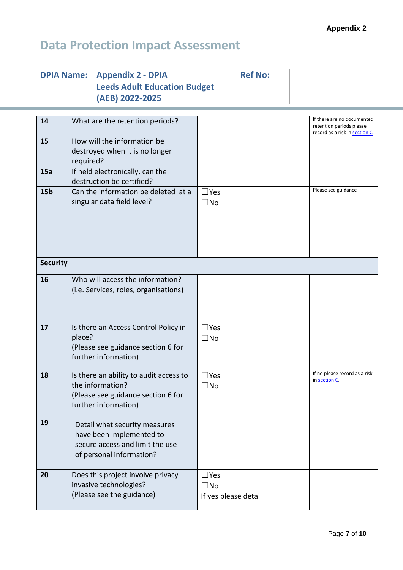| <b>DPIA Name:   Appendix 2 - DPIA</b> | <b>Ref No:</b> |  |
|---------------------------------------|----------------|--|
| <b>Leeds Adult Education Budget</b>   |                |  |
| (AEB) 2022-2025                       |                |  |

| 14              | What are the retention periods?                                                                                          |                                                    | If there are no documented<br>retention periods please<br>record as a risk in section C |
|-----------------|--------------------------------------------------------------------------------------------------------------------------|----------------------------------------------------|-----------------------------------------------------------------------------------------|
| 15              | How will the information be<br>destroyed when it is no longer<br>required?                                               |                                                    |                                                                                         |
| 15a             | If held electronically, can the<br>destruction be certified?                                                             |                                                    |                                                                                         |
| 15 <sub>b</sub> | Can the information be deleted at a<br>singular data field level?                                                        | $\Box$ Yes<br>$\square$ No                         | Please see guidance                                                                     |
| <b>Security</b> |                                                                                                                          |                                                    |                                                                                         |
| 16              | Who will access the information?<br>(i.e. Services, roles, organisations)                                                |                                                    |                                                                                         |
| 17              | Is there an Access Control Policy in<br>place?<br>(Please see guidance section 6 for<br>further information)             | $\Box$ Yes<br>$\square$ No                         |                                                                                         |
| 18              | Is there an ability to audit access to<br>the information?<br>(Please see guidance section 6 for<br>further information) | $\Box$ Yes<br>$\square$ No                         | If no please record as a risk<br>in section C.                                          |
| 19              | Detail what security measures<br>have been implemented to<br>secure access and limit the use<br>of personal information? |                                                    |                                                                                         |
| 20              | Does this project involve privacy<br>invasive technologies?<br>(Please see the guidance)                                 | $\Box$ Yes<br>$\square$ No<br>If yes please detail |                                                                                         |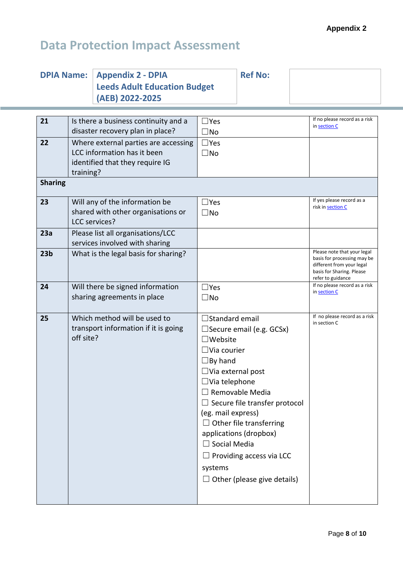|                                                                            | <b>DPIA Name:</b>                | <b>Appendix 2 - DPIA</b><br><b>Leeds Adult Education Budget</b><br>(AEB) 2022-2025 |                                 | <b>Ref No:</b>                       |                                                                                                                                           |
|----------------------------------------------------------------------------|----------------------------------|------------------------------------------------------------------------------------|---------------------------------|--------------------------------------|-------------------------------------------------------------------------------------------------------------------------------------------|
|                                                                            |                                  |                                                                                    |                                 |                                      |                                                                                                                                           |
| 21                                                                         |                                  | Is there a business continuity and a                                               | $\Box$ Yes                      |                                      | If no please record as a risk<br>in section C                                                                                             |
|                                                                            |                                  | disaster recovery plan in place?                                                   | $\square$ No                    |                                      |                                                                                                                                           |
| 22                                                                         |                                  | Where external parties are accessing                                               | $\Box$ Yes                      |                                      |                                                                                                                                           |
|                                                                            |                                  | LCC information has it been                                                        | $\square$ No                    |                                      |                                                                                                                                           |
|                                                                            |                                  | identified that they require IG                                                    |                                 |                                      |                                                                                                                                           |
| <b>Sharing</b>                                                             | training?                        |                                                                                    |                                 |                                      |                                                                                                                                           |
| 23                                                                         |                                  | Will any of the information be                                                     | $\Box$ Yes                      |                                      | If yes please record as a                                                                                                                 |
|                                                                            |                                  | shared with other organisations or                                                 | $\square$ No                    |                                      | risk in section C                                                                                                                         |
|                                                                            |                                  | <b>LCC</b> services?                                                               |                                 |                                      |                                                                                                                                           |
| 23a                                                                        |                                  | Please list all organisations/LCC                                                  |                                 |                                      |                                                                                                                                           |
|                                                                            |                                  | services involved with sharing                                                     |                                 |                                      |                                                                                                                                           |
| 23 <sub>b</sub>                                                            |                                  | What is the legal basis for sharing?                                               |                                 |                                      | Please note that your legal<br>basis for processing may be<br>different from your legal<br>basis for Sharing. Please<br>refer to guidance |
| 24                                                                         | Will there be signed information |                                                                                    | $\square$ Yes                   |                                      | If no please record as a risk<br>in section C                                                                                             |
|                                                                            |                                  | sharing agreements in place                                                        | $\square$ No                    |                                      |                                                                                                                                           |
| 25<br>Which method will be used to<br>transport information if it is going |                                  |                                                                                    | $\Box$ Standard email           |                                      | If no please record as a risk                                                                                                             |
|                                                                            |                                  |                                                                                    | $\Box$ Secure email (e.g. GCSx) |                                      | in section C                                                                                                                              |
|                                                                            | off site?                        |                                                                                    | $\square$ Website               |                                      |                                                                                                                                           |
|                                                                            |                                  |                                                                                    | $\Box$ Via courier              |                                      |                                                                                                                                           |
|                                                                            |                                  |                                                                                    | $\Box$ By hand                  |                                      |                                                                                                                                           |
|                                                                            |                                  |                                                                                    | $\Box$ Via external post        |                                      |                                                                                                                                           |
|                                                                            |                                  |                                                                                    | $\Box$ Via telephone            |                                      |                                                                                                                                           |
|                                                                            |                                  |                                                                                    |                                 | $\Box$ Removable Media               |                                                                                                                                           |
|                                                                            |                                  |                                                                                    |                                 | $\Box$ Secure file transfer protocol |                                                                                                                                           |
|                                                                            |                                  |                                                                                    | (eg. mail express)              |                                      |                                                                                                                                           |
|                                                                            |                                  |                                                                                    |                                 | $\Box$ Other file transferring       |                                                                                                                                           |
|                                                                            |                                  |                                                                                    |                                 | applications (dropbox)               |                                                                                                                                           |
|                                                                            |                                  |                                                                                    | $\Box$ Social Media             |                                      |                                                                                                                                           |
|                                                                            |                                  |                                                                                    | $\Box$ Providing access via LCC |                                      |                                                                                                                                           |
|                                                                            |                                  |                                                                                    | systems                         |                                      |                                                                                                                                           |
|                                                                            |                                  |                                                                                    |                                 | $\Box$ Other (please give details)   |                                                                                                                                           |
|                                                                            |                                  |                                                                                    |                                 |                                      |                                                                                                                                           |
|                                                                            |                                  |                                                                                    |                                 |                                      |                                                                                                                                           |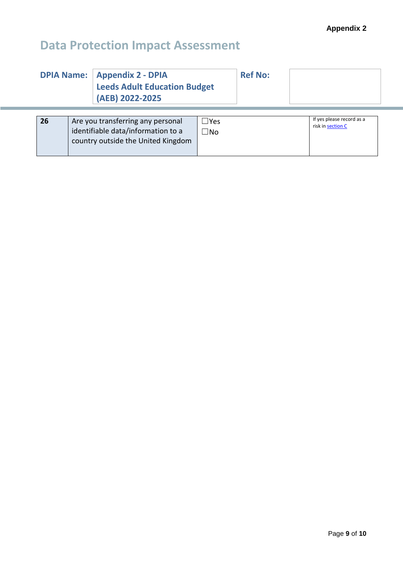| <b>DPIA Name:</b> |                                                                                                               | <b>Appendix 2 - DPIA</b><br><b>Leeds Adult Education Budget</b><br>(AEB) 2022-2025 |                            | <b>Ref No:</b> |                                                |
|-------------------|---------------------------------------------------------------------------------------------------------------|------------------------------------------------------------------------------------|----------------------------|----------------|------------------------------------------------|
| 26                | Are you transferring any personal<br>identifiable data/information to a<br>country outside the United Kingdom |                                                                                    | $\Box$ Yes<br>$\square$ No |                | If yes please record as a<br>risk in section C |